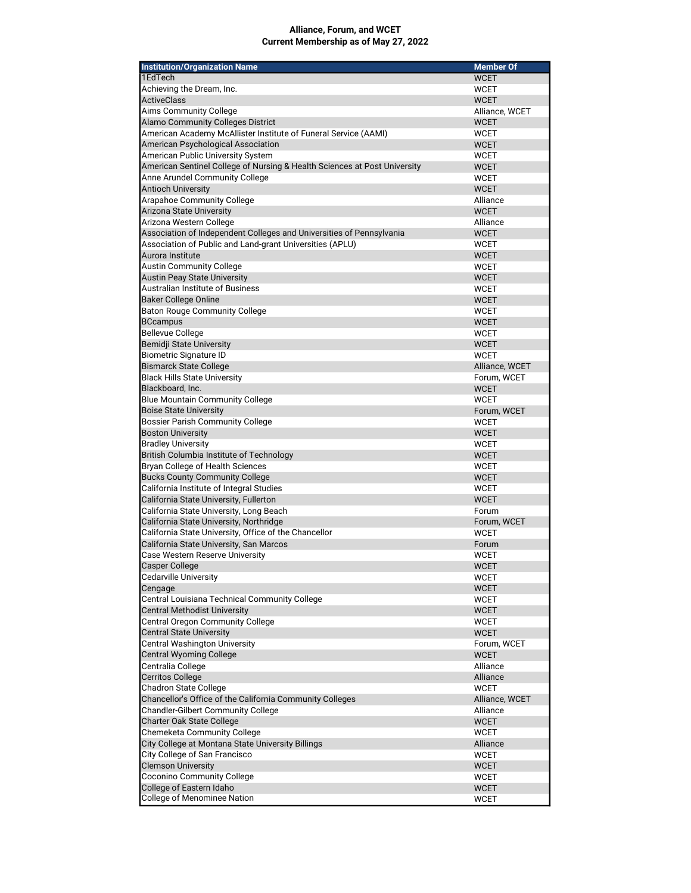## Alliance, Forum, and WCET Current Membership as of May 27, 2022

| <b>Institution/Organization Name</b>                                      | <b>Member Of</b>           |
|---------------------------------------------------------------------------|----------------------------|
| 1EdTech                                                                   | <b>WCET</b>                |
| Achieving the Dream, Inc.                                                 | <b>WCET</b>                |
| <b>ActiveClass</b>                                                        | <b>WCET</b>                |
| <b>Aims Community College</b>                                             | Alliance, WCET             |
| Alamo Community Colleges District                                         | <b>WCET</b>                |
| American Academy McAllister Institute of Funeral Service (AAMI)           | <b>WCET</b>                |
| American Psychological Association                                        | <b>WCET</b>                |
| American Public University System                                         | <b>WCET</b>                |
| American Sentinel College of Nursing & Health Sciences at Post University | <b>WCET</b>                |
| Anne Arundel Community College<br><b>Antioch University</b>               | <b>WCET</b><br><b>WCET</b> |
| Arapahoe Community College                                                | Alliance                   |
| Arizona State University                                                  | <b>WCET</b>                |
| Arizona Western College                                                   | Alliance                   |
| Association of Independent Colleges and Universities of Pennsylvania      | <b>WCET</b>                |
| Association of Public and Land-grant Universities (APLU)                  | <b>WCET</b>                |
| Aurora Institute                                                          | <b>WCET</b>                |
| Austin Community College                                                  | <b>WCET</b>                |
| <b>Austin Peay State University</b>                                       | <b>WCET</b>                |
| <b>Australian Institute of Business</b>                                   | <b>WCET</b>                |
| <b>Baker College Online</b>                                               | <b>WCET</b>                |
| <b>Baton Rouge Community College</b>                                      | <b>WCET</b>                |
| <b>BCcampus</b>                                                           | <b>WCET</b>                |
| <b>Bellevue College</b>                                                   | <b>WCET</b>                |
| Bemidji State University                                                  | <b>WCET</b>                |
| <b>Biometric Signature ID</b>                                             | <b>WCET</b>                |
| <b>Bismarck State College</b>                                             | Alliance, WCET             |
| <b>Black Hills State University</b>                                       | Forum, WCET                |
| Blackboard, Inc.                                                          | <b>WCET</b>                |
| <b>Blue Mountain Community College</b><br><b>Boise State University</b>   | <b>WCET</b>                |
| Bossier Parish Community College                                          | Forum, WCET<br><b>WCET</b> |
| <b>Boston University</b>                                                  | <b>WCET</b>                |
| <b>Bradley University</b>                                                 | <b>WCET</b>                |
| British Columbia Institute of Technology                                  | <b>WCET</b>                |
| Bryan College of Health Sciences                                          | <b>WCET</b>                |
| <b>Bucks County Community College</b>                                     | <b>WCET</b>                |
| California Institute of Integral Studies                                  | WCET                       |
| California State University, Fullerton                                    | <b>WCET</b>                |
| California State University, Long Beach                                   | Forum                      |
| California State University, Northridge                                   | Forum, WCET                |
| California State University, Office of the Chancellor                     | WCET                       |
| California State University, San Marcos                                   | Forum                      |
| Case Western Reserve University                                           | <b>WCET</b>                |
| Casper College                                                            | <b>WCET</b>                |
| <b>Cedarville University</b>                                              | WCET                       |
| Cengage<br>Central Louisiana Technical Community College                  | <b>WCET</b><br><b>WCET</b> |
| <b>Central Methodist University</b>                                       | <b>WCET</b>                |
| Central Oregon Community College                                          | <b>WCET</b>                |
| <b>Central State University</b>                                           | <b>WCET</b>                |
| <b>Central Washington University</b>                                      | Forum, WCET                |
| <b>Central Wyoming College</b>                                            | <b>WCET</b>                |
| Centralia College                                                         | Alliance                   |
| <b>Cerritos College</b>                                                   | Alliance                   |
| <b>Chadron State College</b>                                              | <b>WCET</b>                |
| Chancellor's Office of the California Community Colleges                  | Alliance, WCET             |
| <b>Chandler-Gilbert Community College</b>                                 | Alliance                   |
| Charter Oak State College                                                 | <b>WCET</b>                |
| Chemeketa Community College                                               | WCET                       |
| City College at Montana State University Billings                         | Alliance                   |
| City College of San Francisco                                             | <b>WCET</b>                |
| <b>Clemson University</b>                                                 | <b>WCET</b>                |
| Coconino Community College                                                | WCET                       |
| College of Eastern Idaho<br>College of Menominee Nation                   | <b>WCET</b>                |
|                                                                           | WCET                       |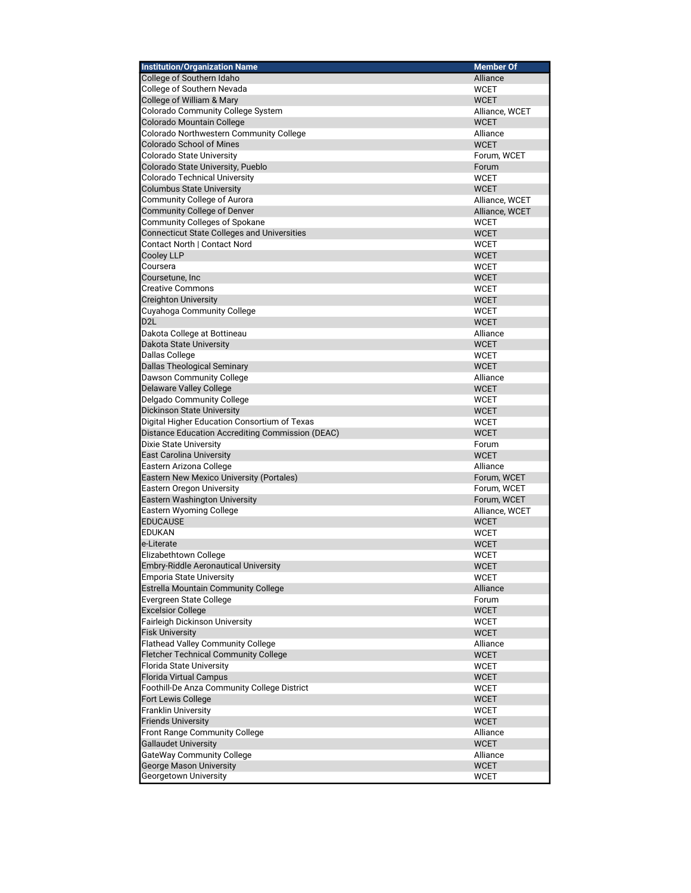| <b>Institution/Organization Name</b>                                     | <b>Member Of</b>                 |
|--------------------------------------------------------------------------|----------------------------------|
| College of Southern Idaho                                                | Alliance                         |
| College of Southern Nevada                                               | <b>WCET</b>                      |
| College of William & Mary                                                | <b>WCET</b>                      |
| Colorado Community College System                                        | Alliance, WCET                   |
| Colorado Mountain College                                                | <b>WCET</b>                      |
| Colorado Northwestern Community College                                  | Alliance                         |
| <b>Colorado School of Mines</b>                                          | <b>WCET</b>                      |
| Colorado State University                                                | Forum, WCET                      |
| Colorado State University, Pueblo                                        | Forum                            |
| <b>Colorado Technical University</b><br><b>Columbus State University</b> | <b>WCET</b><br><b>WCET</b>       |
| <b>Community College of Aurora</b>                                       |                                  |
| Community College of Denver                                              | Alliance, WCET<br>Alliance, WCET |
| Community Colleges of Spokane                                            | <b>WCET</b>                      |
| <b>Connecticut State Colleges and Universities</b>                       | <b>WCET</b>                      |
| Contact North   Contact Nord                                             | <b>WCET</b>                      |
| <b>Cooley LLP</b>                                                        | <b>WCET</b>                      |
| Coursera                                                                 | <b>WCET</b>                      |
| Coursetune, Inc.                                                         | <b>WCET</b>                      |
| <b>Creative Commons</b>                                                  | <b>WCET</b>                      |
| <b>Creighton University</b>                                              | <b>WCET</b>                      |
| Cuyahoga Community College                                               | <b>WCET</b>                      |
| D <sub>2</sub> L                                                         | <b>WCET</b>                      |
| Dakota College at Bottineau                                              | Alliance                         |
| Dakota State University                                                  | <b>WCET</b>                      |
| Dallas College                                                           | <b>WCET</b>                      |
| <b>Dallas Theological Seminary</b>                                       | <b>WCET</b>                      |
| Dawson Community College                                                 | Alliance                         |
| <b>Delaware Valley College</b>                                           | <b>WCET</b>                      |
| Delgado Community College                                                | <b>WCET</b>                      |
| <b>Dickinson State University</b>                                        | <b>WCET</b>                      |
| Digital Higher Education Consortium of Texas                             | <b>WCET</b>                      |
| Distance Education Accrediting Commission (DEAC)                         | <b>WCET</b>                      |
| Dixie State University                                                   | Forum                            |
| <b>East Carolina University</b>                                          | <b>WCET</b>                      |
| Eastern Arizona College                                                  | Alliance                         |
| Eastern New Mexico University (Portales)                                 | Forum, WCET                      |
| Eastern Oregon University                                                | Forum, WCET                      |
| Eastern Washington University                                            | Forum, WCET                      |
| <b>Eastern Wyoming College</b><br><b>EDUCAUSE</b>                        | Alliance, WCET                   |
| <b>EDUKAN</b>                                                            | <b>WCET</b>                      |
| e-Literate                                                               | <b>WCET</b><br><b>WCET</b>       |
| Elizabethtown College                                                    | <b>WCET</b>                      |
| Embry-Riddle Aeronautical University                                     | <b>WCET</b>                      |
| <b>Emporia State University</b>                                          | <b>WCET</b>                      |
| Estrella Mountain Community College                                      | Alliance                         |
| Evergreen State College                                                  | Forum                            |
| <b>Excelsior College</b>                                                 | <b>WCET</b>                      |
| Fairleigh Dickinson University                                           | <b>WCET</b>                      |
| <b>Fisk University</b>                                                   | <b>WCET</b>                      |
| <b>Flathead Valley Community College</b>                                 | Alliance                         |
| <b>Fletcher Technical Community College</b>                              | <b>WCET</b>                      |
| <b>Florida State University</b>                                          | <b>WCET</b>                      |
| <b>Florida Virtual Campus</b>                                            | <b>WCET</b>                      |
| Foothill-De Anza Community College District                              | <b>WCET</b>                      |
| Fort Lewis College                                                       | <b>WCET</b>                      |
| <b>Franklin University</b>                                               | <b>WCET</b>                      |
| <b>Friends University</b>                                                | <b>WCET</b>                      |
| Front Range Community College                                            | Alliance                         |
| <b>Gallaudet University</b>                                              | <b>WCET</b>                      |
| <b>GateWay Community College</b>                                         | Alliance                         |
| <b>George Mason University</b>                                           | <b>WCET</b>                      |
| Georgetown University                                                    | <b>WCET</b>                      |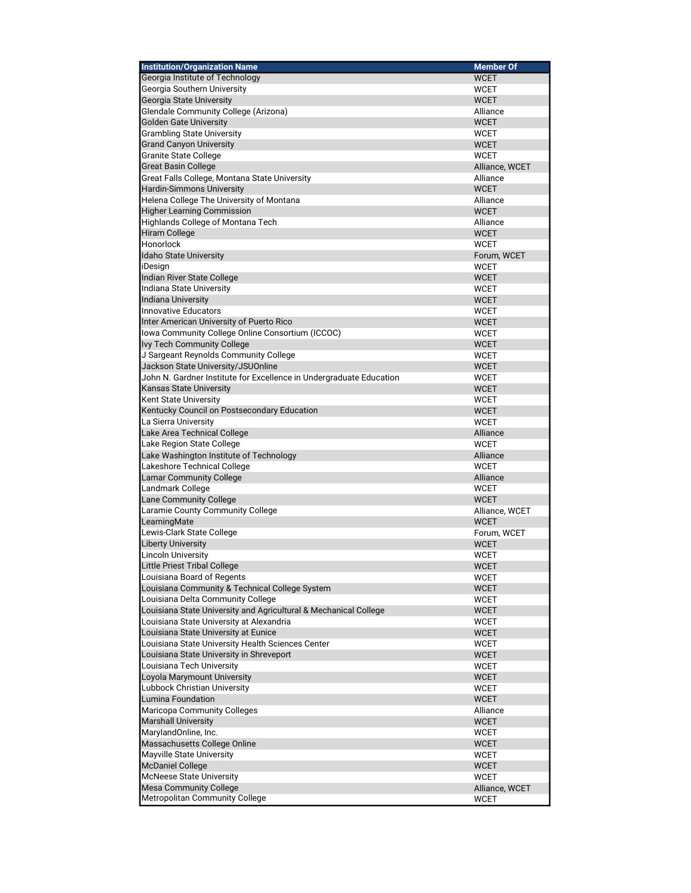| <b>Institution/Organization Name</b>                                | <b>Member Of</b> |
|---------------------------------------------------------------------|------------------|
| Georgia Institute of Technology                                     | <b>WCET</b>      |
| Georgia Southern University                                         | <b>WCET</b>      |
| Georgia State University                                            | <b>WCET</b>      |
| Glendale Community College (Arizona)                                | Alliance         |
| Golden Gate University                                              | <b>WCET</b>      |
| <b>Grambling State University</b>                                   | <b>WCET</b>      |
| <b>Grand Canyon University</b>                                      | <b>WCET</b>      |
| Granite State College                                               | <b>WCET</b>      |
| Great Basin College                                                 | Alliance, WCET   |
| Great Falls College, Montana State University                       | Alliance         |
| Hardin-Simmons University                                           | <b>WCET</b>      |
| Helena College The University of Montana                            | Alliance         |
| <b>Higher Learning Commission</b>                                   | <b>WCET</b>      |
| Highlands College of Montana Tech                                   | Alliance         |
| <b>Hiram College</b>                                                | <b>WCET</b>      |
| Honorlock                                                           | <b>WCET</b>      |
| Idaho State University                                              | Forum, WCET      |
| iDesign                                                             | <b>WCET</b>      |
| Indian River State College                                          | <b>WCET</b>      |
| Indiana State University                                            | <b>WCET</b>      |
| Indiana University                                                  | WCET             |
| Innovative Educators                                                | <b>WCET</b>      |
| Inter American University of Puerto Rico                            | <b>WCET</b>      |
| Iowa Community College Online Consortium (ICCOC)                    | <b>WCET</b>      |
| Ivy Tech Community College                                          | <b>WCET</b>      |
| J Sargeant Reynolds Community College                               | <b>WCET</b>      |
| Jackson State University/JSUOnline                                  | <b>WCET</b>      |
| John N. Gardner Institute for Excellence in Undergraduate Education | <b>WCET</b>      |
| <b>Kansas State University</b>                                      | <b>WCET</b>      |
| Kent State University                                               | <b>WCET</b>      |
| Kentucky Council on Postsecondary Education                         | <b>WCET</b>      |
| La Sierra University                                                | <b>WCET</b>      |
| Lake Area Technical College                                         | Alliance         |
| Lake Region State College                                           | <b>WCET</b>      |
| Lake Washington Institute of Technology                             | Alliance         |
| Lakeshore Technical College                                         | <b>WCET</b>      |
| <b>Lamar Community College</b>                                      | <b>Alliance</b>  |
| Landmark College                                                    | <b>WCET</b>      |
| <b>Lane Community College</b>                                       | <b>WCET</b>      |
| Laramie County Community College                                    | Alliance, WCET   |
| LearningMate                                                        | <b>WCET</b>      |
| Lewis-Clark State College                                           | Forum, WCET      |
| <b>Liberty University</b>                                           | WCET             |
| <b>Lincoln University</b>                                           | <b>WCET</b>      |
| Little Priest Tribal College                                        | <b>WCET</b>      |
| Louisiana Board of Regents                                          | <b>WCET</b>      |
| Louisiana Community & Technical College System                      | WCET             |
| Louisiana Delta Community College                                   | WCET             |
| Louisiana State University and Agricultural & Mechanical College    | <b>WCET</b>      |
| Louisiana State University at Alexandria                            | WCET             |
| Louisiana State University at Eunice                                | WCET             |
| Louisiana State University Health Sciences Center                   | <b>WCET</b>      |
| Louisiana State University in Shreveport                            | WCET             |
| Louisiana Tech University                                           | <b>WCET</b>      |
| Loyola Marymount University                                         | <b>WCET</b>      |
| Lubbock Christian University                                        | <b>WCET</b>      |
| Lumina Foundation                                                   | WCET             |
| Maricopa Community Colleges                                         | Alliance         |
| <b>Marshall University</b>                                          | <b>WCET</b>      |
| MarylandOnline, Inc.                                                | WCET             |
| Massachusetts College Online                                        | WCET             |
| Mayville State University                                           | WCET             |
| <b>McDaniel College</b>                                             | <b>WCET</b>      |
| <b>McNeese State University</b>                                     | WCET             |
| <b>Mesa Community College</b>                                       | Alliance, WCET   |
| Metropolitan Community College                                      | WCET             |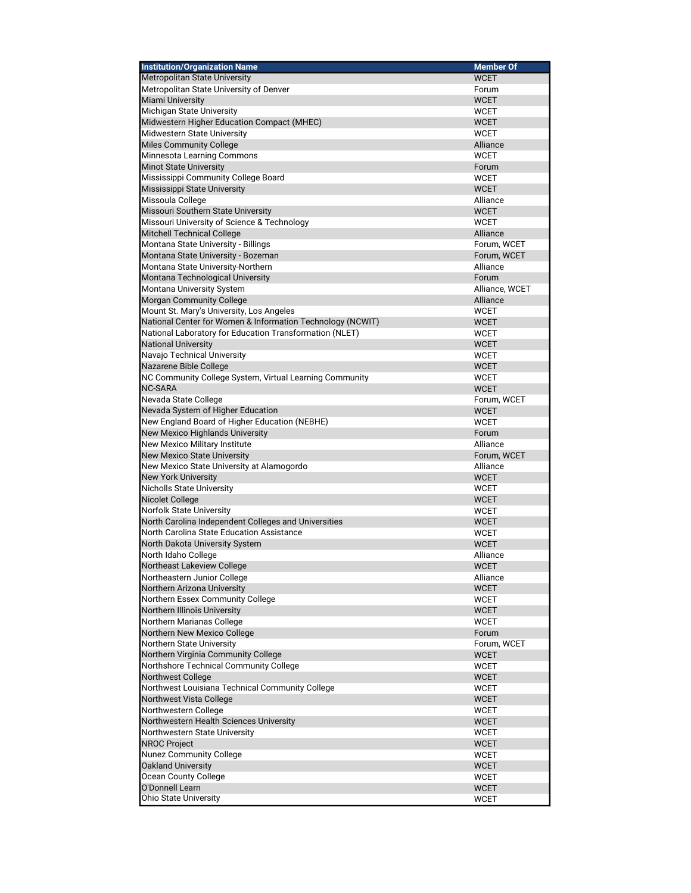| <b>WCET</b><br>Metropolitan State University of Denver<br>Forum<br>Miami University<br><b>WCET</b><br>Michigan State University<br><b>WCET</b><br>Midwestern Higher Education Compact (MHEC)<br><b>WCET</b><br>Midwestern State University<br><b>WCET</b><br>Miles Community College<br>Alliance<br>Minnesota Learning Commons<br><b>WCET</b><br><b>Minot State University</b><br>Forum<br>Mississippi Community College Board<br><b>WCET</b><br>Mississippi State University<br><b>WCET</b><br>Missoula College<br>Alliance<br>Missouri Southern State University<br><b>WCET</b><br>Missouri University of Science & Technology<br><b>WCET</b><br>Mitchell Technical College<br>Alliance<br>Montana State University - Billings<br>Forum, WCET<br>Montana State University - Bozeman<br>Forum, WCET<br>Montana State University-Northern<br>Alliance<br>Montana Technological University<br>Forum<br>Montana University System<br>Alliance, WCET<br>Morgan Community College<br>Alliance<br>Mount St. Mary's University, Los Angeles<br><b>WCET</b><br>National Center for Women & Information Technology (NCWIT)<br><b>WCET</b><br>National Laboratory for Education Transformation (NLET)<br><b>WCET</b><br>National University<br><b>WCET</b><br>Navajo Technical University<br><b>WCET</b><br>Nazarene Bible College<br><b>WCET</b><br>NC Community College System, Virtual Learning Community<br><b>WCET</b><br><b>NC-SARA</b><br><b>WCET</b><br>Nevada State College<br>Forum, WCET<br>Nevada System of Higher Education<br><b>WCET</b><br>New England Board of Higher Education (NEBHE)<br><b>WCET</b><br>New Mexico Highlands University<br>Forum<br>New Mexico Military Institute<br>Alliance<br><b>New Mexico State University</b><br>Forum, WCET<br>New Mexico State University at Alamogordo<br>Alliance<br><b>New York University</b><br><b>WCET</b><br>Nicholls State University<br><b>WCET</b><br>Nicolet College<br><b>WCET</b><br>Norfolk State University<br><b>WCET</b><br>North Carolina Independent Colleges and Universities<br><b>WCET</b><br>North Carolina State Education Assistance<br><b>WCET</b><br>North Dakota University System<br><b>WCET</b><br>North Idaho College<br>Alliance<br><b>WCFT</b><br>Northeastern Junior College<br>Alliance<br>Northern Arizona University<br><b>WCET</b><br>Northern Essex Community College<br><b>WCET</b><br>Northern Illinois University<br><b>WCET</b><br>Northern Marianas College<br><b>WCET</b><br>Northern New Mexico College<br>Forum<br>Northern State University<br>Forum, WCET<br>Northern Virginia Community College<br><b>WCET</b><br>Northshore Technical Community College<br><b>WCET</b><br>Northwest College<br><b>WCET</b><br>Northwest Louisiana Technical Community College<br><b>WCET</b><br>Northwest Vista College<br><b>WCET</b><br>Northwestern College<br><b>WCET</b><br>Northwestern Health Sciences University<br><b>WCET</b><br>Northwestern State University<br><b>WCET</b><br><b>NROC Project</b><br><b>WCET</b><br>Nunez Community College<br><b>WCET</b><br>Oakland University<br><b>WCET</b><br>Ocean County College<br><b>WCET</b><br>O'Donnell Learn<br><b>WCET</b> | <b>Institution/Organization Name</b> | <b>Member Of</b> |
|----------------------------------------------------------------------------------------------------------------------------------------------------------------------------------------------------------------------------------------------------------------------------------------------------------------------------------------------------------------------------------------------------------------------------------------------------------------------------------------------------------------------------------------------------------------------------------------------------------------------------------------------------------------------------------------------------------------------------------------------------------------------------------------------------------------------------------------------------------------------------------------------------------------------------------------------------------------------------------------------------------------------------------------------------------------------------------------------------------------------------------------------------------------------------------------------------------------------------------------------------------------------------------------------------------------------------------------------------------------------------------------------------------------------------------------------------------------------------------------------------------------------------------------------------------------------------------------------------------------------------------------------------------------------------------------------------------------------------------------------------------------------------------------------------------------------------------------------------------------------------------------------------------------------------------------------------------------------------------------------------------------------------------------------------------------------------------------------------------------------------------------------------------------------------------------------------------------------------------------------------------------------------------------------------------------------------------------------------------------------------------------------------------------------------------------------------------------------------------------------------------------------------------------------------------------------------------------------------------------------------------------------------------------------------------------------------------------------------------------------------------------------------------------------------------------------------------------------------------------------------------------------------------------------------------------------------------------------------------------------------------------------------------------------------------------------------------------------------------------------------------------------------------------------------|--------------------------------------|------------------|
|                                                                                                                                                                                                                                                                                                                                                                                                                                                                                                                                                                                                                                                                                                                                                                                                                                                                                                                                                                                                                                                                                                                                                                                                                                                                                                                                                                                                                                                                                                                                                                                                                                                                                                                                                                                                                                                                                                                                                                                                                                                                                                                                                                                                                                                                                                                                                                                                                                                                                                                                                                                                                                                                                                                                                                                                                                                                                                                                                                                                                                                                                                                                                                            | Metropolitan State University        |                  |
|                                                                                                                                                                                                                                                                                                                                                                                                                                                                                                                                                                                                                                                                                                                                                                                                                                                                                                                                                                                                                                                                                                                                                                                                                                                                                                                                                                                                                                                                                                                                                                                                                                                                                                                                                                                                                                                                                                                                                                                                                                                                                                                                                                                                                                                                                                                                                                                                                                                                                                                                                                                                                                                                                                                                                                                                                                                                                                                                                                                                                                                                                                                                                                            |                                      |                  |
|                                                                                                                                                                                                                                                                                                                                                                                                                                                                                                                                                                                                                                                                                                                                                                                                                                                                                                                                                                                                                                                                                                                                                                                                                                                                                                                                                                                                                                                                                                                                                                                                                                                                                                                                                                                                                                                                                                                                                                                                                                                                                                                                                                                                                                                                                                                                                                                                                                                                                                                                                                                                                                                                                                                                                                                                                                                                                                                                                                                                                                                                                                                                                                            |                                      |                  |
|                                                                                                                                                                                                                                                                                                                                                                                                                                                                                                                                                                                                                                                                                                                                                                                                                                                                                                                                                                                                                                                                                                                                                                                                                                                                                                                                                                                                                                                                                                                                                                                                                                                                                                                                                                                                                                                                                                                                                                                                                                                                                                                                                                                                                                                                                                                                                                                                                                                                                                                                                                                                                                                                                                                                                                                                                                                                                                                                                                                                                                                                                                                                                                            |                                      |                  |
|                                                                                                                                                                                                                                                                                                                                                                                                                                                                                                                                                                                                                                                                                                                                                                                                                                                                                                                                                                                                                                                                                                                                                                                                                                                                                                                                                                                                                                                                                                                                                                                                                                                                                                                                                                                                                                                                                                                                                                                                                                                                                                                                                                                                                                                                                                                                                                                                                                                                                                                                                                                                                                                                                                                                                                                                                                                                                                                                                                                                                                                                                                                                                                            |                                      |                  |
|                                                                                                                                                                                                                                                                                                                                                                                                                                                                                                                                                                                                                                                                                                                                                                                                                                                                                                                                                                                                                                                                                                                                                                                                                                                                                                                                                                                                                                                                                                                                                                                                                                                                                                                                                                                                                                                                                                                                                                                                                                                                                                                                                                                                                                                                                                                                                                                                                                                                                                                                                                                                                                                                                                                                                                                                                                                                                                                                                                                                                                                                                                                                                                            |                                      |                  |
|                                                                                                                                                                                                                                                                                                                                                                                                                                                                                                                                                                                                                                                                                                                                                                                                                                                                                                                                                                                                                                                                                                                                                                                                                                                                                                                                                                                                                                                                                                                                                                                                                                                                                                                                                                                                                                                                                                                                                                                                                                                                                                                                                                                                                                                                                                                                                                                                                                                                                                                                                                                                                                                                                                                                                                                                                                                                                                                                                                                                                                                                                                                                                                            |                                      |                  |
|                                                                                                                                                                                                                                                                                                                                                                                                                                                                                                                                                                                                                                                                                                                                                                                                                                                                                                                                                                                                                                                                                                                                                                                                                                                                                                                                                                                                                                                                                                                                                                                                                                                                                                                                                                                                                                                                                                                                                                                                                                                                                                                                                                                                                                                                                                                                                                                                                                                                                                                                                                                                                                                                                                                                                                                                                                                                                                                                                                                                                                                                                                                                                                            |                                      |                  |
|                                                                                                                                                                                                                                                                                                                                                                                                                                                                                                                                                                                                                                                                                                                                                                                                                                                                                                                                                                                                                                                                                                                                                                                                                                                                                                                                                                                                                                                                                                                                                                                                                                                                                                                                                                                                                                                                                                                                                                                                                                                                                                                                                                                                                                                                                                                                                                                                                                                                                                                                                                                                                                                                                                                                                                                                                                                                                                                                                                                                                                                                                                                                                                            |                                      |                  |
|                                                                                                                                                                                                                                                                                                                                                                                                                                                                                                                                                                                                                                                                                                                                                                                                                                                                                                                                                                                                                                                                                                                                                                                                                                                                                                                                                                                                                                                                                                                                                                                                                                                                                                                                                                                                                                                                                                                                                                                                                                                                                                                                                                                                                                                                                                                                                                                                                                                                                                                                                                                                                                                                                                                                                                                                                                                                                                                                                                                                                                                                                                                                                                            |                                      |                  |
|                                                                                                                                                                                                                                                                                                                                                                                                                                                                                                                                                                                                                                                                                                                                                                                                                                                                                                                                                                                                                                                                                                                                                                                                                                                                                                                                                                                                                                                                                                                                                                                                                                                                                                                                                                                                                                                                                                                                                                                                                                                                                                                                                                                                                                                                                                                                                                                                                                                                                                                                                                                                                                                                                                                                                                                                                                                                                                                                                                                                                                                                                                                                                                            |                                      |                  |
|                                                                                                                                                                                                                                                                                                                                                                                                                                                                                                                                                                                                                                                                                                                                                                                                                                                                                                                                                                                                                                                                                                                                                                                                                                                                                                                                                                                                                                                                                                                                                                                                                                                                                                                                                                                                                                                                                                                                                                                                                                                                                                                                                                                                                                                                                                                                                                                                                                                                                                                                                                                                                                                                                                                                                                                                                                                                                                                                                                                                                                                                                                                                                                            |                                      |                  |
|                                                                                                                                                                                                                                                                                                                                                                                                                                                                                                                                                                                                                                                                                                                                                                                                                                                                                                                                                                                                                                                                                                                                                                                                                                                                                                                                                                                                                                                                                                                                                                                                                                                                                                                                                                                                                                                                                                                                                                                                                                                                                                                                                                                                                                                                                                                                                                                                                                                                                                                                                                                                                                                                                                                                                                                                                                                                                                                                                                                                                                                                                                                                                                            |                                      |                  |
|                                                                                                                                                                                                                                                                                                                                                                                                                                                                                                                                                                                                                                                                                                                                                                                                                                                                                                                                                                                                                                                                                                                                                                                                                                                                                                                                                                                                                                                                                                                                                                                                                                                                                                                                                                                                                                                                                                                                                                                                                                                                                                                                                                                                                                                                                                                                                                                                                                                                                                                                                                                                                                                                                                                                                                                                                                                                                                                                                                                                                                                                                                                                                                            |                                      |                  |
|                                                                                                                                                                                                                                                                                                                                                                                                                                                                                                                                                                                                                                                                                                                                                                                                                                                                                                                                                                                                                                                                                                                                                                                                                                                                                                                                                                                                                                                                                                                                                                                                                                                                                                                                                                                                                                                                                                                                                                                                                                                                                                                                                                                                                                                                                                                                                                                                                                                                                                                                                                                                                                                                                                                                                                                                                                                                                                                                                                                                                                                                                                                                                                            |                                      |                  |
|                                                                                                                                                                                                                                                                                                                                                                                                                                                                                                                                                                                                                                                                                                                                                                                                                                                                                                                                                                                                                                                                                                                                                                                                                                                                                                                                                                                                                                                                                                                                                                                                                                                                                                                                                                                                                                                                                                                                                                                                                                                                                                                                                                                                                                                                                                                                                                                                                                                                                                                                                                                                                                                                                                                                                                                                                                                                                                                                                                                                                                                                                                                                                                            |                                      |                  |
|                                                                                                                                                                                                                                                                                                                                                                                                                                                                                                                                                                                                                                                                                                                                                                                                                                                                                                                                                                                                                                                                                                                                                                                                                                                                                                                                                                                                                                                                                                                                                                                                                                                                                                                                                                                                                                                                                                                                                                                                                                                                                                                                                                                                                                                                                                                                                                                                                                                                                                                                                                                                                                                                                                                                                                                                                                                                                                                                                                                                                                                                                                                                                                            |                                      |                  |
|                                                                                                                                                                                                                                                                                                                                                                                                                                                                                                                                                                                                                                                                                                                                                                                                                                                                                                                                                                                                                                                                                                                                                                                                                                                                                                                                                                                                                                                                                                                                                                                                                                                                                                                                                                                                                                                                                                                                                                                                                                                                                                                                                                                                                                                                                                                                                                                                                                                                                                                                                                                                                                                                                                                                                                                                                                                                                                                                                                                                                                                                                                                                                                            |                                      |                  |
|                                                                                                                                                                                                                                                                                                                                                                                                                                                                                                                                                                                                                                                                                                                                                                                                                                                                                                                                                                                                                                                                                                                                                                                                                                                                                                                                                                                                                                                                                                                                                                                                                                                                                                                                                                                                                                                                                                                                                                                                                                                                                                                                                                                                                                                                                                                                                                                                                                                                                                                                                                                                                                                                                                                                                                                                                                                                                                                                                                                                                                                                                                                                                                            |                                      |                  |
|                                                                                                                                                                                                                                                                                                                                                                                                                                                                                                                                                                                                                                                                                                                                                                                                                                                                                                                                                                                                                                                                                                                                                                                                                                                                                                                                                                                                                                                                                                                                                                                                                                                                                                                                                                                                                                                                                                                                                                                                                                                                                                                                                                                                                                                                                                                                                                                                                                                                                                                                                                                                                                                                                                                                                                                                                                                                                                                                                                                                                                                                                                                                                                            |                                      |                  |
|                                                                                                                                                                                                                                                                                                                                                                                                                                                                                                                                                                                                                                                                                                                                                                                                                                                                                                                                                                                                                                                                                                                                                                                                                                                                                                                                                                                                                                                                                                                                                                                                                                                                                                                                                                                                                                                                                                                                                                                                                                                                                                                                                                                                                                                                                                                                                                                                                                                                                                                                                                                                                                                                                                                                                                                                                                                                                                                                                                                                                                                                                                                                                                            |                                      |                  |
|                                                                                                                                                                                                                                                                                                                                                                                                                                                                                                                                                                                                                                                                                                                                                                                                                                                                                                                                                                                                                                                                                                                                                                                                                                                                                                                                                                                                                                                                                                                                                                                                                                                                                                                                                                                                                                                                                                                                                                                                                                                                                                                                                                                                                                                                                                                                                                                                                                                                                                                                                                                                                                                                                                                                                                                                                                                                                                                                                                                                                                                                                                                                                                            |                                      |                  |
|                                                                                                                                                                                                                                                                                                                                                                                                                                                                                                                                                                                                                                                                                                                                                                                                                                                                                                                                                                                                                                                                                                                                                                                                                                                                                                                                                                                                                                                                                                                                                                                                                                                                                                                                                                                                                                                                                                                                                                                                                                                                                                                                                                                                                                                                                                                                                                                                                                                                                                                                                                                                                                                                                                                                                                                                                                                                                                                                                                                                                                                                                                                                                                            |                                      |                  |
|                                                                                                                                                                                                                                                                                                                                                                                                                                                                                                                                                                                                                                                                                                                                                                                                                                                                                                                                                                                                                                                                                                                                                                                                                                                                                                                                                                                                                                                                                                                                                                                                                                                                                                                                                                                                                                                                                                                                                                                                                                                                                                                                                                                                                                                                                                                                                                                                                                                                                                                                                                                                                                                                                                                                                                                                                                                                                                                                                                                                                                                                                                                                                                            |                                      |                  |
|                                                                                                                                                                                                                                                                                                                                                                                                                                                                                                                                                                                                                                                                                                                                                                                                                                                                                                                                                                                                                                                                                                                                                                                                                                                                                                                                                                                                                                                                                                                                                                                                                                                                                                                                                                                                                                                                                                                                                                                                                                                                                                                                                                                                                                                                                                                                                                                                                                                                                                                                                                                                                                                                                                                                                                                                                                                                                                                                                                                                                                                                                                                                                                            |                                      |                  |
|                                                                                                                                                                                                                                                                                                                                                                                                                                                                                                                                                                                                                                                                                                                                                                                                                                                                                                                                                                                                                                                                                                                                                                                                                                                                                                                                                                                                                                                                                                                                                                                                                                                                                                                                                                                                                                                                                                                                                                                                                                                                                                                                                                                                                                                                                                                                                                                                                                                                                                                                                                                                                                                                                                                                                                                                                                                                                                                                                                                                                                                                                                                                                                            |                                      |                  |
|                                                                                                                                                                                                                                                                                                                                                                                                                                                                                                                                                                                                                                                                                                                                                                                                                                                                                                                                                                                                                                                                                                                                                                                                                                                                                                                                                                                                                                                                                                                                                                                                                                                                                                                                                                                                                                                                                                                                                                                                                                                                                                                                                                                                                                                                                                                                                                                                                                                                                                                                                                                                                                                                                                                                                                                                                                                                                                                                                                                                                                                                                                                                                                            |                                      |                  |
|                                                                                                                                                                                                                                                                                                                                                                                                                                                                                                                                                                                                                                                                                                                                                                                                                                                                                                                                                                                                                                                                                                                                                                                                                                                                                                                                                                                                                                                                                                                                                                                                                                                                                                                                                                                                                                                                                                                                                                                                                                                                                                                                                                                                                                                                                                                                                                                                                                                                                                                                                                                                                                                                                                                                                                                                                                                                                                                                                                                                                                                                                                                                                                            |                                      |                  |
|                                                                                                                                                                                                                                                                                                                                                                                                                                                                                                                                                                                                                                                                                                                                                                                                                                                                                                                                                                                                                                                                                                                                                                                                                                                                                                                                                                                                                                                                                                                                                                                                                                                                                                                                                                                                                                                                                                                                                                                                                                                                                                                                                                                                                                                                                                                                                                                                                                                                                                                                                                                                                                                                                                                                                                                                                                                                                                                                                                                                                                                                                                                                                                            |                                      |                  |
|                                                                                                                                                                                                                                                                                                                                                                                                                                                                                                                                                                                                                                                                                                                                                                                                                                                                                                                                                                                                                                                                                                                                                                                                                                                                                                                                                                                                                                                                                                                                                                                                                                                                                                                                                                                                                                                                                                                                                                                                                                                                                                                                                                                                                                                                                                                                                                                                                                                                                                                                                                                                                                                                                                                                                                                                                                                                                                                                                                                                                                                                                                                                                                            |                                      |                  |
|                                                                                                                                                                                                                                                                                                                                                                                                                                                                                                                                                                                                                                                                                                                                                                                                                                                                                                                                                                                                                                                                                                                                                                                                                                                                                                                                                                                                                                                                                                                                                                                                                                                                                                                                                                                                                                                                                                                                                                                                                                                                                                                                                                                                                                                                                                                                                                                                                                                                                                                                                                                                                                                                                                                                                                                                                                                                                                                                                                                                                                                                                                                                                                            |                                      |                  |
|                                                                                                                                                                                                                                                                                                                                                                                                                                                                                                                                                                                                                                                                                                                                                                                                                                                                                                                                                                                                                                                                                                                                                                                                                                                                                                                                                                                                                                                                                                                                                                                                                                                                                                                                                                                                                                                                                                                                                                                                                                                                                                                                                                                                                                                                                                                                                                                                                                                                                                                                                                                                                                                                                                                                                                                                                                                                                                                                                                                                                                                                                                                                                                            |                                      |                  |
|                                                                                                                                                                                                                                                                                                                                                                                                                                                                                                                                                                                                                                                                                                                                                                                                                                                                                                                                                                                                                                                                                                                                                                                                                                                                                                                                                                                                                                                                                                                                                                                                                                                                                                                                                                                                                                                                                                                                                                                                                                                                                                                                                                                                                                                                                                                                                                                                                                                                                                                                                                                                                                                                                                                                                                                                                                                                                                                                                                                                                                                                                                                                                                            |                                      |                  |
|                                                                                                                                                                                                                                                                                                                                                                                                                                                                                                                                                                                                                                                                                                                                                                                                                                                                                                                                                                                                                                                                                                                                                                                                                                                                                                                                                                                                                                                                                                                                                                                                                                                                                                                                                                                                                                                                                                                                                                                                                                                                                                                                                                                                                                                                                                                                                                                                                                                                                                                                                                                                                                                                                                                                                                                                                                                                                                                                                                                                                                                                                                                                                                            |                                      |                  |
|                                                                                                                                                                                                                                                                                                                                                                                                                                                                                                                                                                                                                                                                                                                                                                                                                                                                                                                                                                                                                                                                                                                                                                                                                                                                                                                                                                                                                                                                                                                                                                                                                                                                                                                                                                                                                                                                                                                                                                                                                                                                                                                                                                                                                                                                                                                                                                                                                                                                                                                                                                                                                                                                                                                                                                                                                                                                                                                                                                                                                                                                                                                                                                            |                                      |                  |
|                                                                                                                                                                                                                                                                                                                                                                                                                                                                                                                                                                                                                                                                                                                                                                                                                                                                                                                                                                                                                                                                                                                                                                                                                                                                                                                                                                                                                                                                                                                                                                                                                                                                                                                                                                                                                                                                                                                                                                                                                                                                                                                                                                                                                                                                                                                                                                                                                                                                                                                                                                                                                                                                                                                                                                                                                                                                                                                                                                                                                                                                                                                                                                            |                                      |                  |
|                                                                                                                                                                                                                                                                                                                                                                                                                                                                                                                                                                                                                                                                                                                                                                                                                                                                                                                                                                                                                                                                                                                                                                                                                                                                                                                                                                                                                                                                                                                                                                                                                                                                                                                                                                                                                                                                                                                                                                                                                                                                                                                                                                                                                                                                                                                                                                                                                                                                                                                                                                                                                                                                                                                                                                                                                                                                                                                                                                                                                                                                                                                                                                            |                                      |                  |
|                                                                                                                                                                                                                                                                                                                                                                                                                                                                                                                                                                                                                                                                                                                                                                                                                                                                                                                                                                                                                                                                                                                                                                                                                                                                                                                                                                                                                                                                                                                                                                                                                                                                                                                                                                                                                                                                                                                                                                                                                                                                                                                                                                                                                                                                                                                                                                                                                                                                                                                                                                                                                                                                                                                                                                                                                                                                                                                                                                                                                                                                                                                                                                            |                                      |                  |
|                                                                                                                                                                                                                                                                                                                                                                                                                                                                                                                                                                                                                                                                                                                                                                                                                                                                                                                                                                                                                                                                                                                                                                                                                                                                                                                                                                                                                                                                                                                                                                                                                                                                                                                                                                                                                                                                                                                                                                                                                                                                                                                                                                                                                                                                                                                                                                                                                                                                                                                                                                                                                                                                                                                                                                                                                                                                                                                                                                                                                                                                                                                                                                            |                                      |                  |
|                                                                                                                                                                                                                                                                                                                                                                                                                                                                                                                                                                                                                                                                                                                                                                                                                                                                                                                                                                                                                                                                                                                                                                                                                                                                                                                                                                                                                                                                                                                                                                                                                                                                                                                                                                                                                                                                                                                                                                                                                                                                                                                                                                                                                                                                                                                                                                                                                                                                                                                                                                                                                                                                                                                                                                                                                                                                                                                                                                                                                                                                                                                                                                            |                                      |                  |
|                                                                                                                                                                                                                                                                                                                                                                                                                                                                                                                                                                                                                                                                                                                                                                                                                                                                                                                                                                                                                                                                                                                                                                                                                                                                                                                                                                                                                                                                                                                                                                                                                                                                                                                                                                                                                                                                                                                                                                                                                                                                                                                                                                                                                                                                                                                                                                                                                                                                                                                                                                                                                                                                                                                                                                                                                                                                                                                                                                                                                                                                                                                                                                            |                                      |                  |
|                                                                                                                                                                                                                                                                                                                                                                                                                                                                                                                                                                                                                                                                                                                                                                                                                                                                                                                                                                                                                                                                                                                                                                                                                                                                                                                                                                                                                                                                                                                                                                                                                                                                                                                                                                                                                                                                                                                                                                                                                                                                                                                                                                                                                                                                                                                                                                                                                                                                                                                                                                                                                                                                                                                                                                                                                                                                                                                                                                                                                                                                                                                                                                            |                                      |                  |
|                                                                                                                                                                                                                                                                                                                                                                                                                                                                                                                                                                                                                                                                                                                                                                                                                                                                                                                                                                                                                                                                                                                                                                                                                                                                                                                                                                                                                                                                                                                                                                                                                                                                                                                                                                                                                                                                                                                                                                                                                                                                                                                                                                                                                                                                                                                                                                                                                                                                                                                                                                                                                                                                                                                                                                                                                                                                                                                                                                                                                                                                                                                                                                            | Northeast Lakeview College           |                  |
|                                                                                                                                                                                                                                                                                                                                                                                                                                                                                                                                                                                                                                                                                                                                                                                                                                                                                                                                                                                                                                                                                                                                                                                                                                                                                                                                                                                                                                                                                                                                                                                                                                                                                                                                                                                                                                                                                                                                                                                                                                                                                                                                                                                                                                                                                                                                                                                                                                                                                                                                                                                                                                                                                                                                                                                                                                                                                                                                                                                                                                                                                                                                                                            |                                      |                  |
|                                                                                                                                                                                                                                                                                                                                                                                                                                                                                                                                                                                                                                                                                                                                                                                                                                                                                                                                                                                                                                                                                                                                                                                                                                                                                                                                                                                                                                                                                                                                                                                                                                                                                                                                                                                                                                                                                                                                                                                                                                                                                                                                                                                                                                                                                                                                                                                                                                                                                                                                                                                                                                                                                                                                                                                                                                                                                                                                                                                                                                                                                                                                                                            |                                      |                  |
|                                                                                                                                                                                                                                                                                                                                                                                                                                                                                                                                                                                                                                                                                                                                                                                                                                                                                                                                                                                                                                                                                                                                                                                                                                                                                                                                                                                                                                                                                                                                                                                                                                                                                                                                                                                                                                                                                                                                                                                                                                                                                                                                                                                                                                                                                                                                                                                                                                                                                                                                                                                                                                                                                                                                                                                                                                                                                                                                                                                                                                                                                                                                                                            |                                      |                  |
|                                                                                                                                                                                                                                                                                                                                                                                                                                                                                                                                                                                                                                                                                                                                                                                                                                                                                                                                                                                                                                                                                                                                                                                                                                                                                                                                                                                                                                                                                                                                                                                                                                                                                                                                                                                                                                                                                                                                                                                                                                                                                                                                                                                                                                                                                                                                                                                                                                                                                                                                                                                                                                                                                                                                                                                                                                                                                                                                                                                                                                                                                                                                                                            |                                      |                  |
|                                                                                                                                                                                                                                                                                                                                                                                                                                                                                                                                                                                                                                                                                                                                                                                                                                                                                                                                                                                                                                                                                                                                                                                                                                                                                                                                                                                                                                                                                                                                                                                                                                                                                                                                                                                                                                                                                                                                                                                                                                                                                                                                                                                                                                                                                                                                                                                                                                                                                                                                                                                                                                                                                                                                                                                                                                                                                                                                                                                                                                                                                                                                                                            |                                      |                  |
|                                                                                                                                                                                                                                                                                                                                                                                                                                                                                                                                                                                                                                                                                                                                                                                                                                                                                                                                                                                                                                                                                                                                                                                                                                                                                                                                                                                                                                                                                                                                                                                                                                                                                                                                                                                                                                                                                                                                                                                                                                                                                                                                                                                                                                                                                                                                                                                                                                                                                                                                                                                                                                                                                                                                                                                                                                                                                                                                                                                                                                                                                                                                                                            |                                      |                  |
|                                                                                                                                                                                                                                                                                                                                                                                                                                                                                                                                                                                                                                                                                                                                                                                                                                                                                                                                                                                                                                                                                                                                                                                                                                                                                                                                                                                                                                                                                                                                                                                                                                                                                                                                                                                                                                                                                                                                                                                                                                                                                                                                                                                                                                                                                                                                                                                                                                                                                                                                                                                                                                                                                                                                                                                                                                                                                                                                                                                                                                                                                                                                                                            |                                      |                  |
|                                                                                                                                                                                                                                                                                                                                                                                                                                                                                                                                                                                                                                                                                                                                                                                                                                                                                                                                                                                                                                                                                                                                                                                                                                                                                                                                                                                                                                                                                                                                                                                                                                                                                                                                                                                                                                                                                                                                                                                                                                                                                                                                                                                                                                                                                                                                                                                                                                                                                                                                                                                                                                                                                                                                                                                                                                                                                                                                                                                                                                                                                                                                                                            |                                      |                  |
|                                                                                                                                                                                                                                                                                                                                                                                                                                                                                                                                                                                                                                                                                                                                                                                                                                                                                                                                                                                                                                                                                                                                                                                                                                                                                                                                                                                                                                                                                                                                                                                                                                                                                                                                                                                                                                                                                                                                                                                                                                                                                                                                                                                                                                                                                                                                                                                                                                                                                                                                                                                                                                                                                                                                                                                                                                                                                                                                                                                                                                                                                                                                                                            |                                      |                  |
|                                                                                                                                                                                                                                                                                                                                                                                                                                                                                                                                                                                                                                                                                                                                                                                                                                                                                                                                                                                                                                                                                                                                                                                                                                                                                                                                                                                                                                                                                                                                                                                                                                                                                                                                                                                                                                                                                                                                                                                                                                                                                                                                                                                                                                                                                                                                                                                                                                                                                                                                                                                                                                                                                                                                                                                                                                                                                                                                                                                                                                                                                                                                                                            |                                      |                  |
|                                                                                                                                                                                                                                                                                                                                                                                                                                                                                                                                                                                                                                                                                                                                                                                                                                                                                                                                                                                                                                                                                                                                                                                                                                                                                                                                                                                                                                                                                                                                                                                                                                                                                                                                                                                                                                                                                                                                                                                                                                                                                                                                                                                                                                                                                                                                                                                                                                                                                                                                                                                                                                                                                                                                                                                                                                                                                                                                                                                                                                                                                                                                                                            |                                      |                  |
|                                                                                                                                                                                                                                                                                                                                                                                                                                                                                                                                                                                                                                                                                                                                                                                                                                                                                                                                                                                                                                                                                                                                                                                                                                                                                                                                                                                                                                                                                                                                                                                                                                                                                                                                                                                                                                                                                                                                                                                                                                                                                                                                                                                                                                                                                                                                                                                                                                                                                                                                                                                                                                                                                                                                                                                                                                                                                                                                                                                                                                                                                                                                                                            |                                      |                  |
|                                                                                                                                                                                                                                                                                                                                                                                                                                                                                                                                                                                                                                                                                                                                                                                                                                                                                                                                                                                                                                                                                                                                                                                                                                                                                                                                                                                                                                                                                                                                                                                                                                                                                                                                                                                                                                                                                                                                                                                                                                                                                                                                                                                                                                                                                                                                                                                                                                                                                                                                                                                                                                                                                                                                                                                                                                                                                                                                                                                                                                                                                                                                                                            |                                      |                  |
|                                                                                                                                                                                                                                                                                                                                                                                                                                                                                                                                                                                                                                                                                                                                                                                                                                                                                                                                                                                                                                                                                                                                                                                                                                                                                                                                                                                                                                                                                                                                                                                                                                                                                                                                                                                                                                                                                                                                                                                                                                                                                                                                                                                                                                                                                                                                                                                                                                                                                                                                                                                                                                                                                                                                                                                                                                                                                                                                                                                                                                                                                                                                                                            |                                      |                  |
|                                                                                                                                                                                                                                                                                                                                                                                                                                                                                                                                                                                                                                                                                                                                                                                                                                                                                                                                                                                                                                                                                                                                                                                                                                                                                                                                                                                                                                                                                                                                                                                                                                                                                                                                                                                                                                                                                                                                                                                                                                                                                                                                                                                                                                                                                                                                                                                                                                                                                                                                                                                                                                                                                                                                                                                                                                                                                                                                                                                                                                                                                                                                                                            |                                      |                  |
|                                                                                                                                                                                                                                                                                                                                                                                                                                                                                                                                                                                                                                                                                                                                                                                                                                                                                                                                                                                                                                                                                                                                                                                                                                                                                                                                                                                                                                                                                                                                                                                                                                                                                                                                                                                                                                                                                                                                                                                                                                                                                                                                                                                                                                                                                                                                                                                                                                                                                                                                                                                                                                                                                                                                                                                                                                                                                                                                                                                                                                                                                                                                                                            |                                      |                  |
|                                                                                                                                                                                                                                                                                                                                                                                                                                                                                                                                                                                                                                                                                                                                                                                                                                                                                                                                                                                                                                                                                                                                                                                                                                                                                                                                                                                                                                                                                                                                                                                                                                                                                                                                                                                                                                                                                                                                                                                                                                                                                                                                                                                                                                                                                                                                                                                                                                                                                                                                                                                                                                                                                                                                                                                                                                                                                                                                                                                                                                                                                                                                                                            |                                      |                  |
|                                                                                                                                                                                                                                                                                                                                                                                                                                                                                                                                                                                                                                                                                                                                                                                                                                                                                                                                                                                                                                                                                                                                                                                                                                                                                                                                                                                                                                                                                                                                                                                                                                                                                                                                                                                                                                                                                                                                                                                                                                                                                                                                                                                                                                                                                                                                                                                                                                                                                                                                                                                                                                                                                                                                                                                                                                                                                                                                                                                                                                                                                                                                                                            |                                      |                  |
|                                                                                                                                                                                                                                                                                                                                                                                                                                                                                                                                                                                                                                                                                                                                                                                                                                                                                                                                                                                                                                                                                                                                                                                                                                                                                                                                                                                                                                                                                                                                                                                                                                                                                                                                                                                                                                                                                                                                                                                                                                                                                                                                                                                                                                                                                                                                                                                                                                                                                                                                                                                                                                                                                                                                                                                                                                                                                                                                                                                                                                                                                                                                                                            |                                      |                  |
|                                                                                                                                                                                                                                                                                                                                                                                                                                                                                                                                                                                                                                                                                                                                                                                                                                                                                                                                                                                                                                                                                                                                                                                                                                                                                                                                                                                                                                                                                                                                                                                                                                                                                                                                                                                                                                                                                                                                                                                                                                                                                                                                                                                                                                                                                                                                                                                                                                                                                                                                                                                                                                                                                                                                                                                                                                                                                                                                                                                                                                                                                                                                                                            | Ohio State University                | WCET             |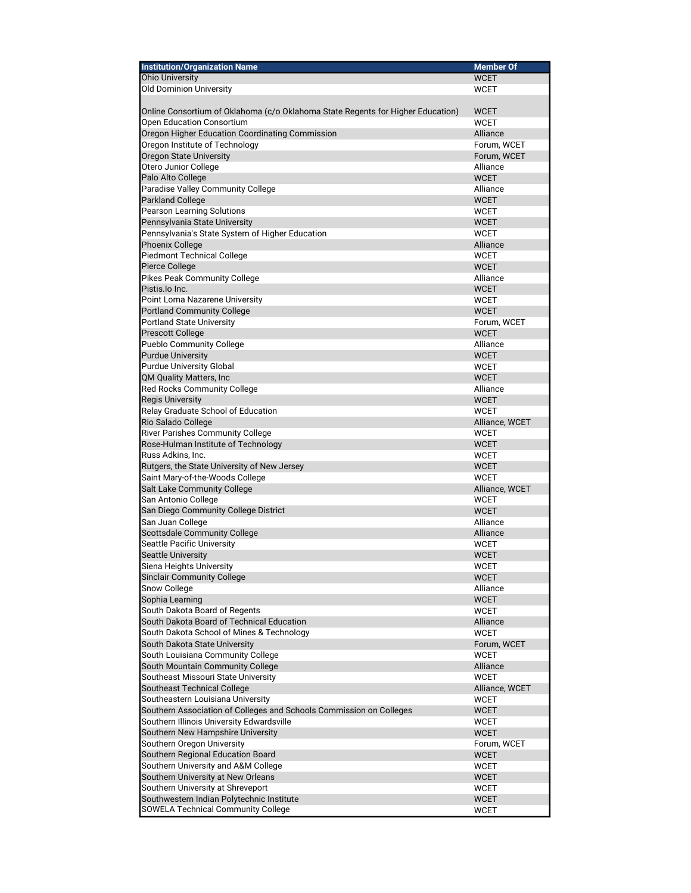| <b>Institution/Organization Name</b>                                                                     | <b>Member Of</b>           |
|----------------------------------------------------------------------------------------------------------|----------------------------|
| <b>Ohio University</b>                                                                                   | <b>WCET</b>                |
| Old Dominion University                                                                                  | <b>WCET</b>                |
|                                                                                                          |                            |
| Online Consortium of Oklahoma (c/o Oklahoma State Regents for Higher Education)                          | <b>WCET</b>                |
| Open Education Consortium                                                                                | <b>WCET</b>                |
| Oregon Higher Education Coordinating Commission                                                          | Alliance                   |
| Oregon Institute of Technology                                                                           | Forum. WCET                |
| Oregon State University                                                                                  | Forum, WCET                |
| Otero Junior College                                                                                     | Alliance                   |
| Palo Alto College                                                                                        | <b>WCET</b>                |
| Paradise Valley Community College                                                                        | Alliance                   |
| Parkland College                                                                                         | <b>WCET</b>                |
| Pearson Learning Solutions                                                                               | <b>WCET</b>                |
| Pennsylvania State University                                                                            | <b>WCET</b>                |
| Pennsylvania's State System of Higher Education                                                          | <b>WCET</b>                |
| Phoenix College                                                                                          | Alliance                   |
| Piedmont Technical College                                                                               | <b>WCET</b>                |
| Pierce College                                                                                           | <b>WCET</b>                |
| Pikes Peak Community College                                                                             | Alliance                   |
| Pistis.lo Inc.                                                                                           | <b>WCET</b>                |
| Point Loma Nazarene University                                                                           | <b>WCET</b>                |
| Portland Community College                                                                               | <b>WCET</b>                |
| Portland State University                                                                                | Forum, WCET                |
| Prescott College                                                                                         | <b>WCET</b>                |
| Pueblo Community College                                                                                 | Alliance                   |
| <b>Purdue University</b>                                                                                 | <b>WCET</b>                |
| Purdue University Global                                                                                 | WCET                       |
| QM Quality Matters, Inc                                                                                  | <b>WCET</b>                |
| Red Rocks Community College                                                                              | Alliance                   |
| <b>Regis University</b>                                                                                  | <b>WCET</b>                |
| Relay Graduate School of Education                                                                       | <b>WCET</b>                |
| Rio Salado College                                                                                       | Alliance, WCET             |
| <b>River Parishes Community College</b>                                                                  | <b>WCET</b>                |
| Rose-Hulman Institute of Technology                                                                      | <b>WCET</b>                |
| Russ Adkins, Inc.                                                                                        | <b>WCET</b>                |
| Rutgers, the State University of New Jersey                                                              | <b>WCET</b>                |
| Saint Mary-of-the-Woods College                                                                          | <b>WCET</b>                |
| Salt Lake Community College                                                                              | Alliance, WCET             |
| San Antonio College                                                                                      | <b>WCET</b>                |
| San Diego Community College District                                                                     | <b>WCET</b>                |
| San Juan College                                                                                         | Alliance                   |
| Scottsdale Community College                                                                             | Alliance                   |
| Seattle Pacific University                                                                               | <b>WCET</b>                |
| Seattle University                                                                                       | <b>WCET</b>                |
| Siena Heights University<br>Sinclair Community College                                                   | WCET                       |
|                                                                                                          | WCET                       |
| Snow College<br>Sophia Learning                                                                          | Alliance                   |
|                                                                                                          | <b>WCET</b>                |
| South Dakota Board of Regents<br>South Dakota Board of Technical Education                               | <b>WCET</b>                |
| South Dakota School of Mines & Technology                                                                | Alliance                   |
|                                                                                                          | <b>WCET</b>                |
| South Dakota State University<br>South Louisiana Community College                                       | Forum, WCET<br><b>WCET</b> |
| South Mountain Community College                                                                         | Alliance                   |
|                                                                                                          | <b>WCET</b>                |
| Southeast Missouri State University<br>Southeast Technical College                                       |                            |
|                                                                                                          | Alliance, WCET             |
| Southeastern Louisiana University<br>Southern Association of Colleges and Schools Commission on Colleges | <b>WCET</b><br><b>WCET</b> |
| Southern Illinois University Edwardsville                                                                | <b>WCET</b>                |
|                                                                                                          |                            |
| Southern New Hampshire University                                                                        | <b>WCET</b>                |
| Southern Oregon University<br>Southern Regional Education Board                                          | Forum, WCET<br><b>WCET</b> |
| Southern University and A&M College                                                                      |                            |
| Southern University at New Orleans                                                                       | WCET                       |
| Southern University at Shreveport                                                                        | <b>WCET</b>                |
| Southwestern Indian Polytechnic Institute                                                                | WCET<br><b>WCET</b>        |
| SOWELA Technical Community College                                                                       |                            |
|                                                                                                          | WCET                       |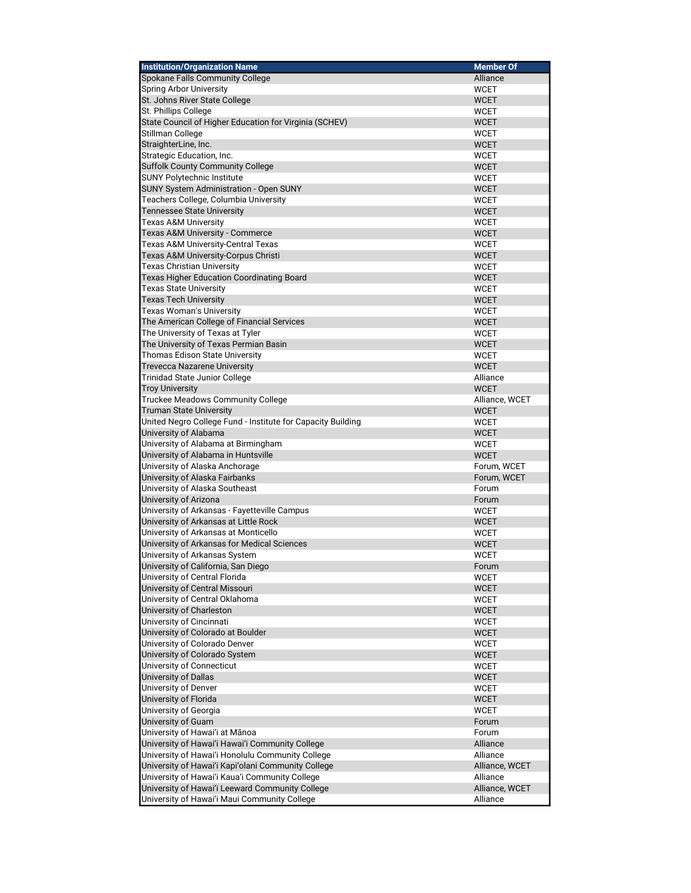| <b>Institution/Organization Name</b>                        | <b>Member Of</b> |
|-------------------------------------------------------------|------------------|
| Spokane Falls Community College                             | Alliance         |
| <b>Spring Arbor University</b>                              | <b>WCET</b>      |
| St. Johns River State College                               | <b>WCET</b>      |
| St. Phillips College                                        | <b>WCET</b>      |
| State Council of Higher Education for Virginia (SCHEV)      | <b>WCET</b>      |
| Stillman College                                            | <b>WCET</b>      |
| StraighterLine, Inc.                                        | <b>WCET</b>      |
| Strategic Education, Inc.                                   | <b>WCET</b>      |
| Suffolk County Community College                            | <b>WCET</b>      |
| SUNY Polytechnic Institute                                  | <b>WCET</b>      |
| SUNY System Administration - Open SUNY                      | <b>WCET</b>      |
| Teachers College, Columbia University                       | <b>WCET</b>      |
| <b>Tennessee State University</b>                           | <b>WCET</b>      |
| <b>Texas A&amp;M University</b>                             | <b>WCET</b>      |
| Texas A&M University - Commerce                             | WCET             |
| Texas A&M University-Central Texas                          | <b>WCET</b>      |
| Texas A&M University-Corpus Christi                         | <b>WCET</b>      |
| <b>Texas Christian University</b>                           | WCET             |
| <b>Texas Higher Education Coordinating Board</b>            | <b>WCET</b>      |
| <b>Texas State University</b>                               | <b>WCET</b>      |
| <b>Texas Tech University</b>                                | <b>WCET</b>      |
| Texas Woman's University                                    | <b>WCET</b>      |
|                                                             |                  |
| The American College of Financial Services                  | <b>WCET</b>      |
| The University of Texas at Tyler                            | <b>WCET</b>      |
| The University of Texas Permian Basin                       | <b>WCET</b>      |
| Thomas Edison State University                              | <b>WCET</b>      |
| <b>Trevecca Nazarene University</b>                         | <b>WCET</b>      |
| <b>Trinidad State Junior College</b>                        | Alliance         |
| <b>Troy University</b>                                      | <b>WCET</b>      |
| Truckee Meadows Community College                           | Alliance, WCET   |
| <b>Truman State University</b>                              | <b>WCET</b>      |
| United Negro College Fund - Institute for Capacity Building | <b>WCET</b>      |
| University of Alabama                                       | <b>WCET</b>      |
| University of Alabama at Birmingham                         | <b>WCET</b>      |
| University of Alabama in Huntsville                         | <b>WCET</b>      |
| University of Alaska Anchorage                              | Forum, WCET      |
| University of Alaska Fairbanks                              | Forum, WCET      |
| University of Alaska Southeast                              | Forum            |
| University of Arizona                                       | Forum            |
| University of Arkansas - Fayetteville Campus                | WCET             |
| University of Arkansas at Little Rock                       | WCET             |
| University of Arkansas at Monticello                        | <b>WCET</b>      |
| University of Arkansas for Medical Sciences                 | WCET             |
| University of Arkansas System                               | <b>WCET</b>      |
| University of California, San Diego                         | Forum            |
| University of Central Florida                               | WCET             |
| University of Central Missouri                              | WCET             |
| University of Central Oklahoma                              | <b>WCET</b>      |
| University of Charleston                                    | <b>WCET</b>      |
| University of Cincinnati                                    | <b>WCET</b>      |
| University of Colorado at Boulder                           | <b>WCET</b>      |
| University of Colorado Denver                               | WCET             |
| University of Colorado System                               | <b>WCET</b>      |
| University of Connecticut                                   | WCET             |
| University of Dallas                                        | <b>WCET</b>      |
| University of Denver                                        | WCET             |
| University of Florida                                       | <b>WCET</b>      |
| University of Georgia                                       | WCET             |
| University of Guam                                          | Forum            |
| University of Hawai'i at Mānoa                              | Forum            |
| University of Hawai'i Hawai'i Community College             | Alliance         |
| University of Hawai'i Honolulu Community College            | Alliance         |
| University of Hawai'i Kapi'olani Community College          | Alliance, WCET   |
| University of Hawai'i Kaua'i Community College              | Alliance         |
| University of Hawai'i Leeward Community College             | Alliance, WCET   |
| University of Hawai'i Maui Community College                | Alliance         |
|                                                             |                  |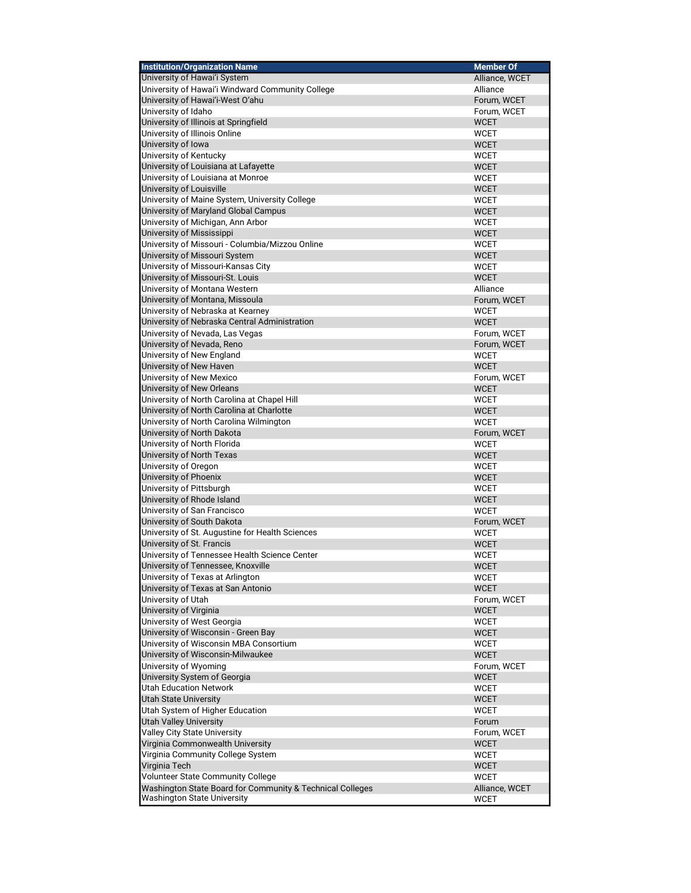| <b>Institution/Organization Name</b>                                         | <b>Member Of</b>           |
|------------------------------------------------------------------------------|----------------------------|
| University of Hawai'i System                                                 | Alliance, WCET             |
| University of Hawai'i Windward Community College                             | Alliance                   |
| University of Hawai'i-West O'ahu                                             | Forum, WCET                |
| University of Idaho                                                          | Forum, WCET                |
| University of Illinois at Springfield                                        | <b>WCET</b>                |
| University of Illinois Online                                                | <b>WCET</b>                |
| University of Iowa                                                           | <b>WCET</b>                |
| University of Kentucky                                                       | <b>WCET</b>                |
| University of Louisiana at Lafayette                                         | <b>WCET</b>                |
| University of Louisiana at Monroe                                            | <b>WCET</b>                |
| University of Louisville                                                     | <b>WCET</b>                |
| University of Maine System, University College                               | <b>WCET</b>                |
| University of Maryland Global Campus                                         | <b>WCET</b>                |
| University of Michigan, Ann Arbor                                            | <b>WCET</b><br><b>WCET</b> |
| University of Mississippi<br>University of Missouri - Columbia/Mizzou Online | <b>WCET</b>                |
| University of Missouri System                                                | <b>WCET</b>                |
| University of Missouri-Kansas City                                           | <b>WCET</b>                |
| University of Missouri-St. Louis                                             | <b>WCET</b>                |
| University of Montana Western                                                | Alliance                   |
| University of Montana, Missoula                                              | Forum, WCET                |
| University of Nebraska at Kearney                                            | <b>WCET</b>                |
| University of Nebraska Central Administration                                | <b>WCET</b>                |
| University of Nevada, Las Vegas                                              | Forum, WCET                |
| University of Nevada, Reno                                                   | Forum, WCET                |
| University of New England                                                    | <b>WCET</b>                |
| University of New Haven                                                      | <b>WCET</b>                |
| University of New Mexico                                                     | Forum, WCET                |
| University of New Orleans                                                    | <b>WCET</b>                |
| University of North Carolina at Chapel Hill                                  | <b>WCET</b>                |
| University of North Carolina at Charlotte                                    | <b>WCET</b>                |
| University of North Carolina Wilmington                                      | <b>WCET</b>                |
| University of North Dakota                                                   | Forum, WCET                |
| University of North Florida                                                  | <b>WCET</b>                |
| University of North Texas                                                    | <b>WCET</b>                |
| University of Oregon                                                         | <b>WCET</b>                |
| University of Phoenix                                                        | <b>WCET</b>                |
| University of Pittsburgh                                                     | <b>WCET</b>                |
| University of Rhode Island                                                   | <b>WCET</b>                |
| University of San Francisco                                                  | <b>WCET</b>                |
| University of South Dakota                                                   | Forum, WCET                |
| University of St. Augustine for Health Sciences                              | <b>WCET</b>                |
| University of St. Francis                                                    | <b>WCET</b>                |
| University of Tennessee Health Science Center                                | <b>WCET</b>                |
| University of Tennessee, Knoxville                                           | <b>WCET</b>                |
| University of Texas at Arlington<br>University of Texas at San Antonio       | WCET                       |
| University of Utah                                                           | <b>WCET</b>                |
| University of Virginia                                                       | Forum, WCET                |
| University of West Georgia                                                   | <b>WCET</b><br><b>WCET</b> |
| University of Wisconsin - Green Bay                                          | <b>WCET</b>                |
| University of Wisconsin MBA Consortium                                       | <b>WCET</b>                |
| University of Wisconsin-Milwaukee                                            | <b>WCET</b>                |
| University of Wyoming                                                        | Forum, WCET                |
| University System of Georgia                                                 | <b>WCET</b>                |
| <b>Utah Education Network</b>                                                | <b>WCET</b>                |
| <b>Utah State University</b>                                                 | <b>WCET</b>                |
| Utah System of Higher Education                                              | <b>WCET</b>                |
| <b>Utah Valley University</b>                                                | Forum                      |
| <b>Valley City State University</b>                                          | Forum, WCET                |
| Virginia Commonwealth University                                             | <b>WCET</b>                |
| Virginia Community College System                                            | <b>WCET</b>                |
| Virginia Tech                                                                | <b>WCET</b>                |
| Volunteer State Community College                                            | <b>WCET</b>                |
| Washington State Board for Community & Technical Colleges                    | Alliance, WCET             |
| <b>Washington State University</b>                                           | <b>WCET</b>                |